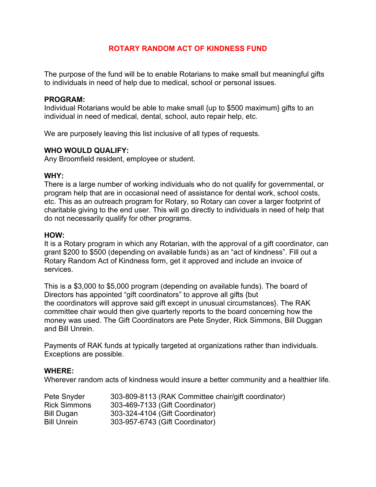# **ROTARY RANDOM ACT OF KINDNESS FUND**

The purpose of the fund will be to enable Rotarians to make small but meaningful gifts to individuals in need of help due to medical, school or personal issues.

# **PROGRAM:**

Individual Rotarians would be able to make small {up to \$500 maximum} gifts to an individual in need of medical, dental, school, auto repair help, etc.

We are purposely leaving this list inclusive of all types of requests.

# **WHO WOULD QUALIFY:**

Any Broomfield resident, employee or student.

#### **WHY:**

There is a large number of working individuals who do not qualify for governmental, or program help that are in occasional need of assistance for dental work, school costs, etc. This as an outreach program for Rotary, so Rotary can cover a larger footprint of charitable giving to the end user. This will go directly to individuals in need of help that do not necessarily qualify for other programs.

#### **HOW:**

It is a Rotary program in which any Rotarian, with the approval of a gift coordinator, can grant \$200 to \$500 (depending on available funds) as an "act of kindness". Fill out a Rotary Random Act of Kindness form, get it approved and include an invoice of services.

This is a \$3,000 to \$5,000 program (depending on available funds). The board of Directors has appointed "gift coordinators" to approve all gifts {but the coordinators will approve said gift except in unusual circumstances}. The RAK committee chair would then give quarterly reports to the board concerning how the money was used. The Gift Coordinators are Pete Snyder, Rick Simmons, Bill Duggan and Bill Unrein.

Payments of RAK funds at typically targeted at organizations rather than individuals. Exceptions are possible.

# **WHERE:**

Wherever random acts of kindness would insure a better community and a healthier life.

| Pete Snyder         | 303-809-8113 (RAK Committee chair/gift coordinator) |
|---------------------|-----------------------------------------------------|
| <b>Rick Simmons</b> | 303-469-7133 (Gift Coordinator)                     |
| <b>Bill Dugan</b>   | 303-324-4104 (Gift Coordinator)                     |
| <b>Bill Unrein</b>  | 303-957-6743 (Gift Coordinator)                     |